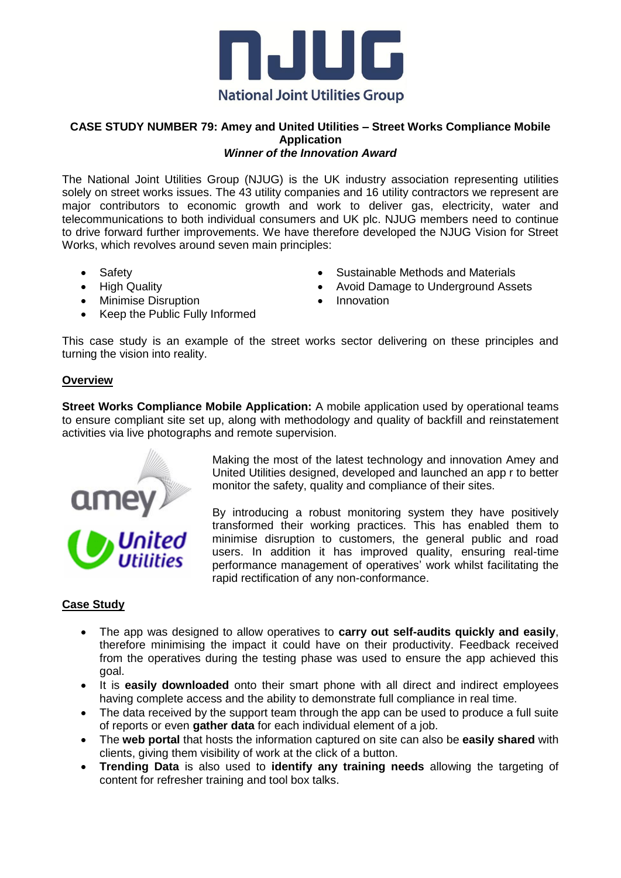

#### **CASE STUDY NUMBER 79: Amey and United Utilities – Street Works Compliance Mobile Application** *Winner of the Innovation Award*

The National Joint Utilities Group (NJUG) is the UK industry association representing utilities solely on street works issues. The 43 utility companies and 16 utility contractors we represent are major contributors to economic growth and work to deliver gas, electricity, water and telecommunications to both individual consumers and UK plc. NJUG members need to continue to drive forward further improvements. We have therefore developed the NJUG Vision for Street Works, which revolves around seven main principles:

- Safety
- High Quality
- Minimise Disruption
- Keep the Public Fully Informed
- Sustainable Methods and Materials
- Avoid Damage to Underground Assets
- Innovation

This case study is an example of the street works sector delivering on these principles and turning the vision into reality.

## **Overview**

**Street Works Compliance Mobile Application:** A mobile application used by operational teams to ensure compliant site set up, along with methodology and quality of backfill and reinstatement activities via live photographs and remote supervision.



Making the most of the latest technology and innovation Amey and United Utilities designed, developed and launched an app r to better monitor the safety, quality and compliance of their sites.

By introducing a robust monitoring system they have positively transformed their working practices. This has enabled them to minimise disruption to customers, the general public and road users. In addition it has improved quality, ensuring real-time performance management of operatives' work whilst facilitating the rapid rectification of any non-conformance.

# **Case Study**

- The app was designed to allow operatives to **carry out self-audits quickly and easily**, therefore minimising the impact it could have on their productivity. Feedback received from the operatives during the testing phase was used to ensure the app achieved this goal.
- It is easily downloaded onto their smart phone with all direct and indirect employees having complete access and the ability to demonstrate full compliance in real time.
- The data received by the support team through the app can be used to produce a full suite of reports or even **gather data** for each individual element of a job.
- The **web portal** that hosts the information captured on site can also be **easily shared** with clients, giving them visibility of work at the click of a button.
- **Trending Data** is also used to **identify any training needs** allowing the targeting of content for refresher training and tool box talks.